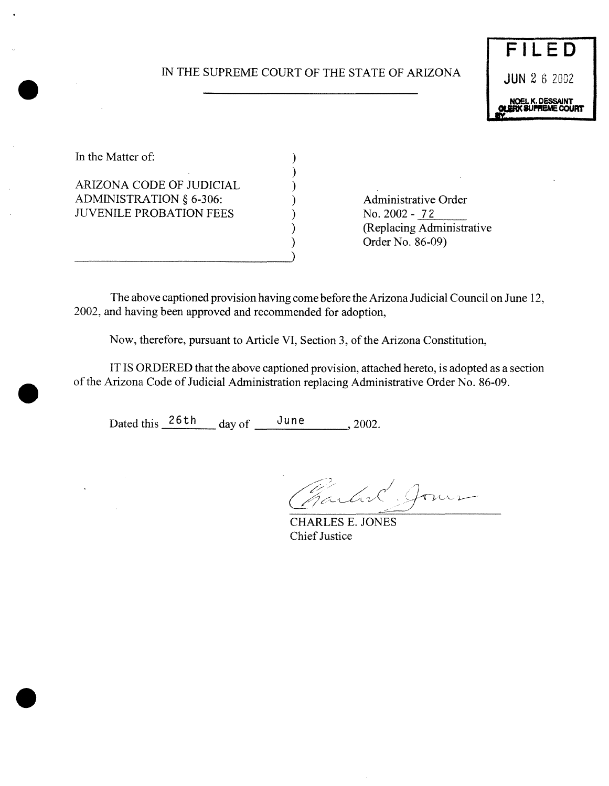# IN THE SUPREME COURT OF THE STATE OF ARIZONA JUN 2 6 2002

)



In the Matter of:  $\qquad \qquad$  )

ARIZONA CODE OF JUDICIAL ) ADMINISTRATION § 6-306: (a) Administrative Order JUVENILE PROBATION FEES ) No. 2002 - 72

) (Replacing Administrative ) Order No. 86-09)

The above captioned provision having come before the Arizona Judicial Council on June 12, 2002, and having been approved and recommended for adoption,

Now, therefore, pursuant to Article VI, Section 3, of the Arizona Constitution,

IT IS ORDERED that the above captioned provision, attached hereto, is adopted as a section of the Arizona Code of Judicial Administration replacing Administrative Order No. 86-09.

Dated this  $\frac{26\text{th}}{4}$  day of  $\frac{\text{June}}{\text{June}}$ , 2002.

Partire Jour

CHARLES E. JONES **Chief Justice** 

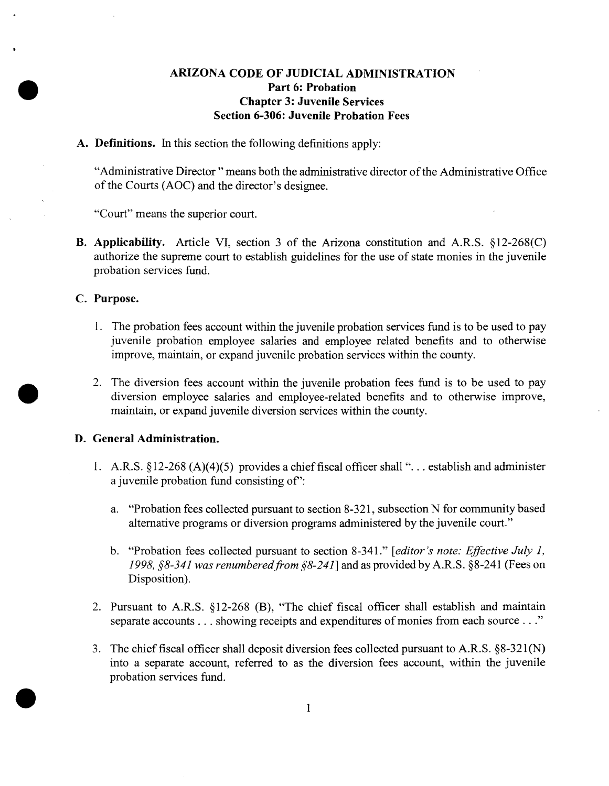## **ARIZONA CODE OF JUDICIAL ADMINISTRATION Part 6: Probation Chapter 3: Juvenile Services Section 6-306: Juvenile Probation Fees**

**A. Definitions. In** this section the following definitions apply:

"Administrative Director" means both the administrative director of the Administrative Office of the Courts (AOC) and the director's designee.

"Court" means the superior court.

B. Applicability. Article VI, section 3 of the Arizona constitution and A.R.S. §12-268(C) authorize the supreme court to establish guidelines for the use of state monies in the juvenile probation services fund.

### **C. Purpose.**

- 1. The probation fees account within the juvenile probation services fund is to be used to pay juvenile probation employee salaries and employee related benefits and to otherwise improve, maintain, or expand juvenile probation services within the county.
- 2. The diversion fees account within the juvenile probation fees fund is to be used to pay diversion employee salaries and employee-related benefits and to otherwise improve, maintain, or expand juvenile diversion services within the county.

#### **D. General Administration.**

- **1.** A.R.S. § 12-268 *(A)(4)(5)* provides **a** chieffiscal officershall ". . . establish and administer **a** juvenile probation fund consisting **of':**
	- **a. "Probation** fees collected pursuant to section 8-321, subsection N for communitybased alternative programs or diversion programs administered by the juvenile court."
	- b. "Probation fees collected pursuant to section 8-341." *[editor's note: Effective July 1, 1998, §8-341 was renumberedfrom §8-241]* and as provided byA.R.S. §8-241 (Fees on Disposition).
- 2. Pursuant to A.R.S. §12-268 (B), "The chief fiscal officer shall establish and maintain separate accounts... showing receipts and expenditures of monies from each source..."
- 3. The chieffiscal officer shall deposit diversion fees collected pursuant to A.R.S. §8-321(N) into a separate account, referred to as the diversion fees account, within the juvenile probation services fund.

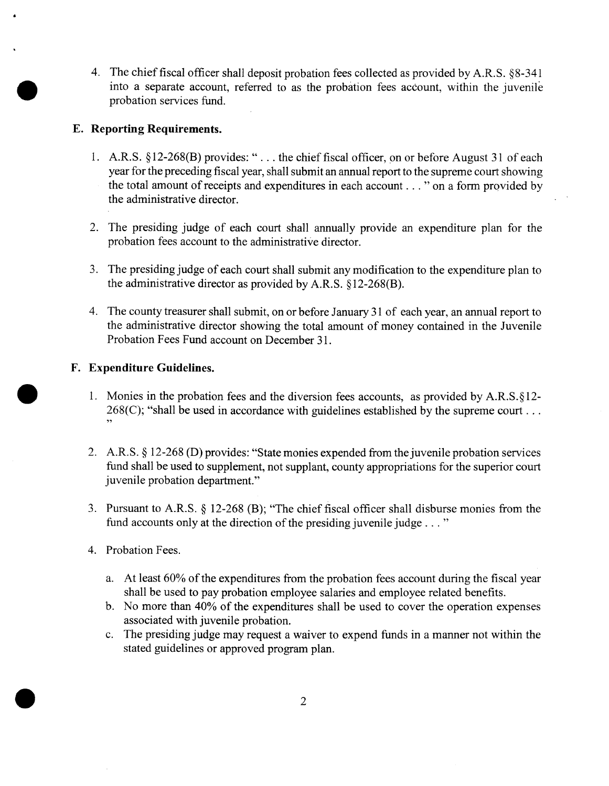4. The chieffiscal officer shall deposit probation fees collected as provided by A.R.S. §8-341 into a separate account, referred to as the probation fees account, within the juvenile probation services fund.

## **E. Reporting Requirements.**

- 1. A.R.S. §12-268(B) provides: "... the chief fiscal officer, on or before August 31 of each year for the preceding fiscal year, shall submit an annual report to the supreme court showing the total amount of receipts and expenditures in each account... "on a form provided by the administrative director.
- 2. The presiding judge of each court shall annually provide an expenditure plan for the probation fees account to the administrative director.
- 3. The presiding judge of each court shall submit any modification to the expenditure plan to the administrative director as provided by A.R.S. § 12-268(B).
- 4. The county treasurer shall submit, on or before January 31 of each year, an annual report to the administrative director showing the total amount of money contained in the Juvenile Probation Fees Fund account on December 31.

## **F. Expenditure Guidelines.**

- 1. Monies in the probation fees and the diversion fees accounts, as provided by  $A.R.S.\S12 268(C)$ ; "shall be used in accordance with guidelines established by the supreme court...
- 2. A.R.S. § 12-268 (D) provides: "State monies expended from the juvenile probation services fund shall be used to supplement, not supplant, county appropriations for the superior court juvenile probation department."
- 3. Pursuant to A.R.S.  $\S$  12-268 (B); "The chief fiscal officer shall disburse monies from the fund accounts only at the direction of the presiding juvenile judge  $\dots$ "
- 4. Probation Fees.
	- a. At least  $60\%$  of the expenditures from the probation fees account during the fiscal year shall be used to pay probation employee salaries and employee related benefits.
	- b. No more than 40% of the expenditures shall be used to cover the operation expenses associated with juvenile probation.
	- c. The presiding judge may request a waiver to expend funds in a manner not within the stated guidelines or approved program plan.